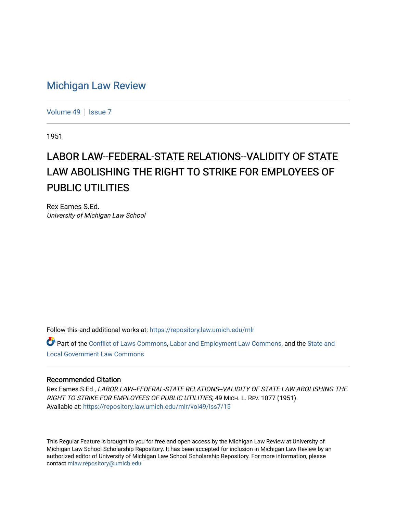## [Michigan Law Review](https://repository.law.umich.edu/mlr)

[Volume 49](https://repository.law.umich.edu/mlr/vol49) | [Issue 7](https://repository.law.umich.edu/mlr/vol49/iss7)

1951

## LABOR LAW--FEDERAL-STATE RELATIONS--VALIDITY OF STATE LAW ABOLISHING THE RIGHT TO STRIKE FOR EMPLOYEES OF PUBLIC UTILITIES

Rex Eames S.Ed. University of Michigan Law School

Follow this and additional works at: [https://repository.law.umich.edu/mlr](https://repository.law.umich.edu/mlr?utm_source=repository.law.umich.edu%2Fmlr%2Fvol49%2Fiss7%2F15&utm_medium=PDF&utm_campaign=PDFCoverPages) 

Part of the [Conflict of Laws Commons,](https://network.bepress.com/hgg/discipline/588?utm_source=repository.law.umich.edu%2Fmlr%2Fvol49%2Fiss7%2F15&utm_medium=PDF&utm_campaign=PDFCoverPages) [Labor and Employment Law Commons](https://network.bepress.com/hgg/discipline/909?utm_source=repository.law.umich.edu%2Fmlr%2Fvol49%2Fiss7%2F15&utm_medium=PDF&utm_campaign=PDFCoverPages), and the [State and](https://network.bepress.com/hgg/discipline/879?utm_source=repository.law.umich.edu%2Fmlr%2Fvol49%2Fiss7%2F15&utm_medium=PDF&utm_campaign=PDFCoverPages)  [Local Government Law Commons](https://network.bepress.com/hgg/discipline/879?utm_source=repository.law.umich.edu%2Fmlr%2Fvol49%2Fiss7%2F15&utm_medium=PDF&utm_campaign=PDFCoverPages)

## Recommended Citation

Rex Eames S.Ed., LABOR LAW--FEDERAL-STATE RELATIONS--VALIDITY OF STATE LAW ABOLISHING THE RIGHT TO STRIKE FOR EMPLOYEES OF PUBLIC UTILITIES, 49 MICH. L. REV. 1077 (1951). Available at: [https://repository.law.umich.edu/mlr/vol49/iss7/15](https://repository.law.umich.edu/mlr/vol49/iss7/15?utm_source=repository.law.umich.edu%2Fmlr%2Fvol49%2Fiss7%2F15&utm_medium=PDF&utm_campaign=PDFCoverPages) 

This Regular Feature is brought to you for free and open access by the Michigan Law Review at University of Michigan Law School Scholarship Repository. It has been accepted for inclusion in Michigan Law Review by an authorized editor of University of Michigan Law School Scholarship Repository. For more information, please contact [mlaw.repository@umich.edu](mailto:mlaw.repository@umich.edu).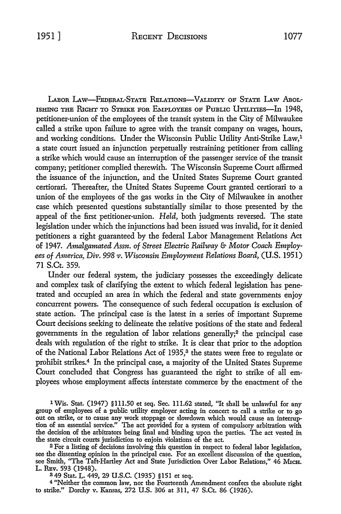LABOR LAW-FEDERAL-STATE RELATIONS-VALIDITY OF STATE LAW ABOL-ISHING THE RIGHT TO STRIKE FOR EMPLOYEES OF PUBLIC UTILITIES-In 1948, petitioner-union of the employees of the transit system in the City of Milwaukee called a strike upon failure to agree with the transit company on wages, hours, and working conditions. Under the Wisconsin Public Utility Anti-Strike Law,1 a state court issued an injunction perpetually restraining petitioner from calling a strike which would cause an interruption of the passenger service of the transit company; petitioner complied therewith. The Wisconsin Supreme Court affirmed the issuance of the injunction, and the United States Supreme Court granted certiorari. Thereafter, the United States Supreme Court granted certiorari to a union of the employees of the gas works in the City of Milwaukee in another case which presented questions substantially similar to those presented by the appeal of the first petitioner-union. *Held,* both judgments reversed. The state legislation under which the injunctions had been issued was invalid, for it denied petitioners a right guaranteed by the federal Labor Management Relations Act of 1947. *Amalgamated Assn. of Street Electric Railway* & *Motor Coach Employees of America, Div. 998 v. Wisconsin Employment Relations Board,* **(U.S.** 1951) 71 S.Ct. 359.

Under our federal system, the judiciary possesses the exceedingly delicate and complex task of clarifying the extent to which federal legislation has penetrated and occupied an area in which the federal and state governments enjoy concurrent powers. The consequence of such federal occupation is exclusion of state action. The principal case is the latest in a series of important Supreme Court decisions seeking to delineate the relative positions of the state and federal governments in the regulation of labor relations generally;2 the principal case deals with regulation of the right to strike. It is clear that prior to the adoption of the National Labor Relations Act of 1935,<sup>3</sup> the states were free to regulate or prohibit strikes.4 In the principal case, a majority of the United States Supreme Court concluded that Congress has guaranteed the right to strike of all employees whose employment affects interstate commerce by the enactment of the

1 Wis. Stat. (1947) §111.50 et seq. Sec. 111.62 stated, "It shall be unlawful for any group of employees of a public utility employer acting in concert to call a strike or to go out on strike, or to cause any work stoppage or slowdown which would cause an interruption of an essential service." The act provided for a system of compulsory arbitration with the decision of the arbitrators being final and binding upon the parties. The act vested in the state circuit courts jurisdiction to enjoin violations of the act.

<sup>2</sup> For a listing of decisions involving this question in respect to federal labor legislation, see the dissenting opinion in the principal case. For an excellent discussion of the question, see Smith, "The Taft-Hartley Act and State Jurisdiction Over Labor Relations," 46 MICH. L. REv. 593 (1948).

349 Stat. L. 449, 29 U.S.C. (1935) §151 et seq.

4 "Neither the common law, nor the Fourteenth Amendment confers the absolute right to strike." Dorchy v. Kansas, 272 U.S. 306 at 311, 47 S.Ct. 86 (1926).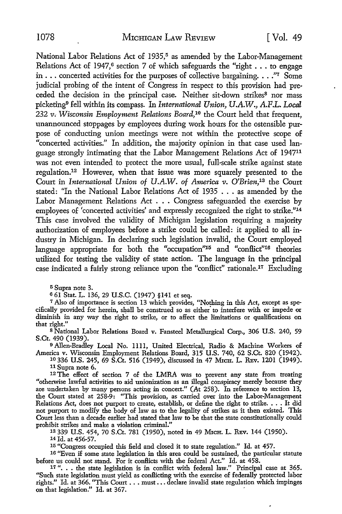National Labor Relations Act of 1935,<sup>5</sup> as amended by the Labor-Management Relations Act of 1947,<sup>6</sup> section 7 of which safeguards the "right  $\dots$  to engage in  $\ldots$  concerted activities for the purposes of collective bargaining  $\ldots$ ." Some judicial probing of the intent of Congress in respect to this provision had preceded the decision in the principal case. Neither sit-down strikes<sup>8</sup> nor mass picketing<sup>9</sup>fell within its compass. In *International Union, U.A.W., A.F.L. Local*  232 *v. Wisconsin Employment Relations Board,10* the Court held that frequent, unannounced stoppages by employees during work hours for the ostensible purpose of conducting union meetings were not within the protective scope of "concerted activities." In addition, the majority opinion in that case used language strongly intimating that the Labor Management Relations Act of 1947<sup>11</sup> was not even intended to protect the more usual, full-scale strike against state regulation.12 However, when that issue was more squarely presented to the Court in *International Union of U.A.W. of America v. O'Brien,13* the Court stated: "In the National Labor Relations Act of 1935 ... as amended by the Labor Management Relations Act . . . Congress safeguarded the exercise by employees of 'concerted activities' and expressly recognized the right to strike."<sup>14</sup> This case involved the validity of Michigan legislation requiring a majority authorization of employees before a strike could be called: it applied to all industry in Michigan. In declaring such legislation invalid, the Court employed language appropriate for both the "occupation"<sup>15</sup> and "conflict"<sup>16</sup> theories utilized for testing the validity of state action. The language in the principal case indicated a fairly strong reliance upon the "conflict" rationale.17 Excluding

5 Supra note 3.

6 61 Stat. L. 136, 29 U.S.C. (1947) §141 et seq.

7 Also of importance is section 13 which provides, "Nothing in this Act, except as specifically provided for herein, shall be construed so as either to interfere with or impede or diminish in any way the right to strike, or to affect the limitations or qualifications on that right."

8 National Labor Relations Board v. Fansteel Metallurgical Corp., 306 U.S. 240, 59 S.Ct. 490 (1939).

<sup>9</sup>Allen-Bradley Local No. llll, United Electrical, Radio & Machine Workers of America v. Wisconsin Employment Relations Board, 315 U.S. 740, 62 S.Ct. 820 (1942).<br><sup>10</sup> 336 U.S. 245, 69 S.Ct. 516 (1949), discussed in 47 M1cH. L. REv. 1201 (1949).

<sup>11</sup>Supra note 6. 12 The effect of section <sup>7</sup>of the LMRA was to prevent any state from treating "otherwise lawful activities to aid unionization as an illegal conspiracy merely because they are undertaken by many persons acting in concert." (At 258). In reference to section 13, the Court stated at 258-9: "This provision, as carried over into the Labor-Management Relations Act, does not purport to create, establish, or define the right to strike .... It did not purport to modify the body of law as to the legality of strikes as it then existed. This Court less than a decade earlier had stated that law to be that the state constitutionally could prohibit strikes and make a violation criminal."

13 339 U.S. 454, 70 S.Ct. 781 (1950), noted in 49 MrcH. L. REv. 144 (1950). 14 Id. at 456-57.

15 "Congress occupied this field and closed it to state regulation." Id. at 457.

16 ''Even if some state legislation in this area could be sustained, the particular statute before us could not stand. For it conflicts with the federal Act." Id. at 458.

17"... the state legislation is in conflict with federal law." Principal case at 365. "Such state legislation must yield as conllicting with the exercise of federally protected labor rights." Id. at 366. "This Court . . . must . . . declare invalid state regulation which impinges on that legislation." Id. at 367.

 $\overline{a}$